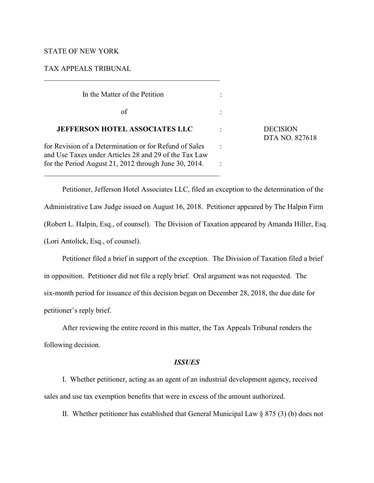# STATE OF NEW YORK

# TAX APPEALS TRIBUNAL

| In the Matter of the Petition                                                                                   |                              |
|-----------------------------------------------------------------------------------------------------------------|------------------------------|
| of                                                                                                              |                              |
| <b>JEFFERSON HOTEL ASSOCIATES LLC</b>                                                                           | <b>DECISION</b><br>DTA NO. 8 |
| for Revision of a Determination or for Refund of Sales<br>and Use Taxes under Articles 28 and 29 of the Tax Law |                              |
| for the Period August 21, 2012 through June 30, 2014.                                                           |                              |

 $\mathcal{L}_\mathcal{L} = \{ \mathcal{L}_\mathcal{L} = \{ \mathcal{L}_\mathcal{L} = \{ \mathcal{L}_\mathcal{L} = \{ \mathcal{L}_\mathcal{L} = \{ \mathcal{L}_\mathcal{L} = \{ \mathcal{L}_\mathcal{L} = \{ \mathcal{L}_\mathcal{L} = \{ \mathcal{L}_\mathcal{L} = \{ \mathcal{L}_\mathcal{L} = \{ \mathcal{L}_\mathcal{L} = \{ \mathcal{L}_\mathcal{L} = \{ \mathcal{L}_\mathcal{L} = \{ \mathcal{L}_\mathcal{L} = \{ \mathcal{L}_\mathcal{$ 

 $\mathcal{L}_\mathcal{L} = \{ \mathcal{L}_\mathcal{L} = \{ \mathcal{L}_\mathcal{L} = \{ \mathcal{L}_\mathcal{L} = \{ \mathcal{L}_\mathcal{L} = \{ \mathcal{L}_\mathcal{L} = \{ \mathcal{L}_\mathcal{L} = \{ \mathcal{L}_\mathcal{L} = \{ \mathcal{L}_\mathcal{L} = \{ \mathcal{L}_\mathcal{L} = \{ \mathcal{L}_\mathcal{L} = \{ \mathcal{L}_\mathcal{L} = \{ \mathcal{L}_\mathcal{L} = \{ \mathcal{L}_\mathcal{L} = \{ \mathcal{L}_\mathcal{$ 

Petitioner, Jefferson Hotel Associates LLC, filed an exception to the determination of the Administrative Law Judge issued on August 16, 2018. Petitioner appeared by The Halpin Firm (Robert L. Halpin, Esq., of counsel). The Division of Taxation appeared by Amanda Hiller, Esq. (Lori Antolick, Esq., of counsel).

DTA NO. 827618

Petitioner filed a brief in support of the exception. The Division of Taxation filed a brief in opposition. Petitioner did not file a reply brief. Oral argument was not requested. The six-month period for issuance of this decision began on December 28, 2018, the due date for petitioner's reply brief.

After reviewing the entire record in this matter, the Tax Appeals Tribunal renders the following decision.

# *ISSUES*

I. Whether petitioner, acting as an agent of an industrial development agency, received sales and use tax exemption benefits that were in excess of the amount authorized.

II. Whether petitioner has established that General Municipal Law  $\S 875 (3)$  (b) does not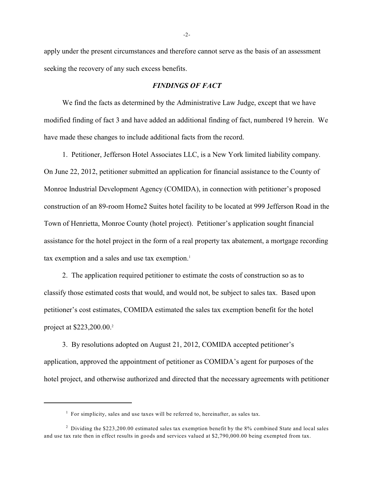apply under the present circumstances and therefore cannot serve as the basis of an assessment seeking the recovery of any such excess benefits.

## *FINDINGS OF FACT*

We find the facts as determined by the Administrative Law Judge, except that we have modified finding of fact 3 and have added an additional finding of fact, numbered 19 herein. We have made these changes to include additional facts from the record.

1. Petitioner, Jefferson Hotel Associates LLC, is a New York limited liability company. On June 22, 2012, petitioner submitted an application for financial assistance to the County of Monroe Industrial Development Agency (COMIDA), in connection with petitioner's proposed construction of an 89-room Home2 Suites hotel facility to be located at 999 Jefferson Road in the Town of Henrietta, Monroe County (hotel project). Petitioner's application sought financial assistance for the hotel project in the form of a real property tax abatement, a mortgage recording tax exemption and a sales and use tax exemption.<sup>1</sup>

2. The application required petitioner to estimate the costs of construction so as to classify those estimated costs that would, and would not, be subject to sales tax. Based upon petitioner's cost estimates, COMIDA estimated the sales tax exemption benefit for the hotel project at \$223,200.00.<sup>2</sup>

3. By resolutions adopted on August 21, 2012, COMIDA accepted petitioner's application, approved the appointment of petitioner as COMIDA's agent for purposes of the hotel project, and otherwise authorized and directed that the necessary agreements with petitioner

 $<sup>1</sup>$  For simplicity, sales and use taxes will be referred to, hereinafter, as sales tax.</sup>

<sup>&</sup>lt;sup>2</sup> Dividing the \$223,200.00 estimated sales tax exemption benefit by the 8% combined State and local sales and use tax rate then in effect results in goods and services valued at \$2,790,000.00 being exempted from tax.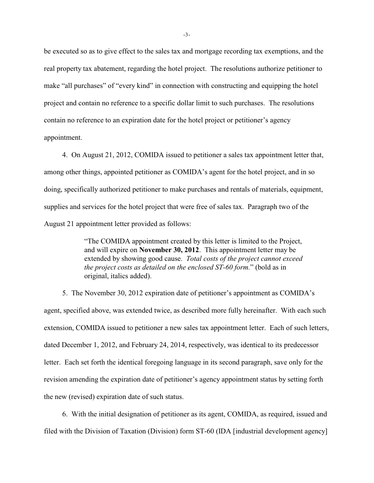be executed so as to give effect to the sales tax and mortgage recording tax exemptions, and the real property tax abatement, regarding the hotel project. The resolutions authorize petitioner to make "all purchases" of "every kind" in connection with constructing and equipping the hotel project and contain no reference to a specific dollar limit to such purchases. The resolutions contain no reference to an expiration date for the hotel project or petitioner's agency appointment.

4. On August 21, 2012, COMIDA issued to petitioner a sales tax appointment letter that, among other things, appointed petitioner as COMIDA's agent for the hotel project, and in so doing, specifically authorized petitioner to make purchases and rentals of materials, equipment, supplies and services for the hotel project that were free of sales tax. Paragraph two of the August 21 appointment letter provided as follows:

> "The COMIDA appointment created by this letter is limited to the Project, and will expire on **November 30, 2012**. This appointment letter may be extended by showing good cause. *Total costs of the project cannot exceed the project costs as detailed on the enclosed ST-60 form.*" (bold as in original, italics added).

5. The November 30, 2012 expiration date of petitioner's appointment as COMIDA's agent, specified above, was extended twice, as described more fully hereinafter. With each such extension, COMIDA issued to petitioner a new sales tax appointment letter. Each of such letters, dated December 1, 2012, and February 24, 2014, respectively, was identical to its predecessor letter. Each set forth the identical foregoing language in its second paragraph, save only for the revision amending the expiration date of petitioner's agency appointment status by setting forth the new (revised) expiration date of such status.

6. With the initial designation of petitioner as its agent, COMIDA, as required, issued and filed with the Division of Taxation (Division) form ST-60 (IDA [industrial development agency]

-3-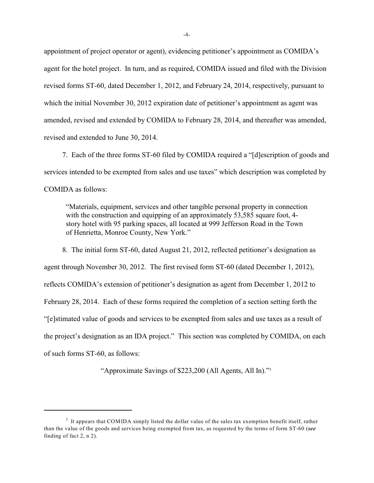appointment of project operator or agent), evidencing petitioner's appointment as COMIDA's agent for the hotel project. In turn, and as required, COMIDA issued and filed with the Division revised forms ST-60, dated December 1, 2012, and February 24, 2014, respectively, pursuant to which the initial November 30, 2012 expiration date of petitioner's appointment as agent was amended, revised and extended by COMIDA to February 28, 2014, and thereafter was amended, revised and extended to June 30, 2014.

7. Each of the three forms ST-60 filed by COMIDA required a "[d]escription of goods and services intended to be exempted from sales and use taxes" which description was completed by COMIDA as follows:

"Materials, equipment, services and other tangible personal property in connection with the construction and equipping of an approximately 53,585 square foot, 4story hotel with 95 parking spaces, all located at 999 Jefferson Road in the Town of Henrietta, Monroe County, New York."

8. The initial form ST-60, dated August 21, 2012, reflected petitioner's designation as agent through November 30, 2012. The first revised form ST-60 (dated December 1, 2012), reflects COMIDA's extension of petitioner's designation as agent from December 1, 2012 to February 28, 2014. Each of these forms required the completion of a section setting forth the "[e]stimated value of goods and services to be exempted from sales and use taxes as a result of the project's designation as an IDA project." This section was completed by COMIDA, on each of such forms ST-60, as follows:

"Approximate Savings of \$223,200 (All Agents, All In)."3

 $3\,$  It appears that COMIDA simply listed the dollar value of the sales tax exemption benefit itself, rather than the value of the goods and services being exempted from tax, as requested by the terms of form ST-60 (*see* finding of fact 2, n 2).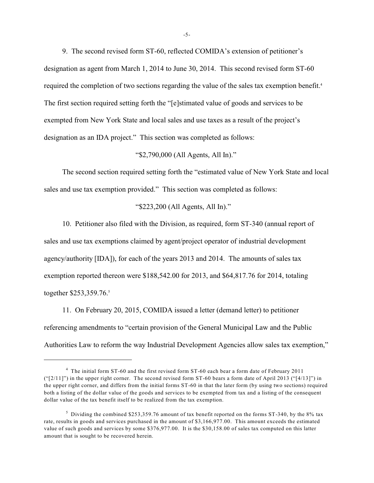9. The second revised form ST-60, reflected COMIDA's extension of petitioner's designation as agent from March 1, 2014 to June 30, 2014. This second revised form ST-60 required the completion of two sections regarding the value of the sales tax exemption benefit.<sup>4</sup> The first section required setting forth the "[e]stimated value of goods and services to be exempted from New York State and local sales and use taxes as a result of the project's designation as an IDA project." This section was completed as follows:

## "\$2,790,000 (All Agents, All In)."

The second section required setting forth the "estimated value of New York State and local sales and use tax exemption provided." This section was completed as follows:

## "\$223,200 (All Agents, All In)."

10. Petitioner also filed with the Division, as required, form ST-340 (annual report of sales and use tax exemptions claimed by agent/project operator of industrial development agency/authority [IDA]), for each of the years 2013 and 2014. The amounts of sales tax exemption reported thereon were \$188,542.00 for 2013, and \$64,817.76 for 2014, totaling together \$253,359.76.<sup>5</sup>

11. On February 20, 2015, COMIDA issued a letter (demand letter) to petitioner referencing amendments to "certain provision of the General Municipal Law and the Public Authorities Law to reform the way Industrial Development Agencies allow sales tax exemption,"

<sup>&</sup>lt;sup>4</sup> The initial form ST-60 and the first revised form ST-60 each bear a form date of February 2011 ("[2/11]") in the upper right corner. The second revised form ST-60 bears a form date of April 2013 ("[4/13]") in the upper right corner, and differs from the initial forms ST-60 in that the later form (by using two sections) required both a listing of the dollar value of the goods and services to be exempted from tax and a listing of the consequent dollar value of the tax benefit itself to be realized from the tax exemption.

<sup>&</sup>lt;sup>5</sup> Dividing the combined \$253,359.76 amount of tax benefit reported on the forms ST-340, by the 8% tax rate, results in goods and services purchased in the amount of \$3,166,977.00. This amount exceeds the estimated value of such goods and services by some \$376,977.00. It is the \$30,158.00 of sales tax computed on this latter amount that is sought to be recovered herein.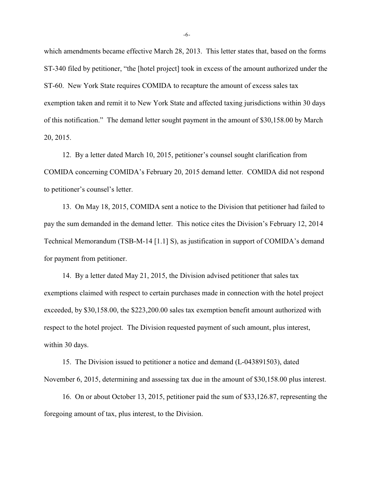which amendments became effective March 28, 2013. This letter states that, based on the forms ST-340 filed by petitioner, "the [hotel project] took in excess of the amount authorized under the ST-60. New York State requires COMIDA to recapture the amount of excess sales tax exemption taken and remit it to New York State and affected taxing jurisdictions within 30 days of this notification." The demand letter sought payment in the amount of \$30,158.00 by March 20, 2015.

12. By a letter dated March 10, 2015, petitioner's counsel sought clarification from COMIDA concerning COMIDA's February 20, 2015 demand letter. COMIDA did not respond to petitioner's counsel's letter.

13. On May 18, 2015, COMIDA sent a notice to the Division that petitioner had failed to pay the sum demanded in the demand letter. This notice cites the Division's February 12, 2014 Technical Memorandum (TSB-M-14 [1.1] S), as justification in support of COMIDA's demand for payment from petitioner.

14. By a letter dated May 21, 2015, the Division advised petitioner that sales tax exemptions claimed with respect to certain purchases made in connection with the hotel project exceeded, by \$30,158.00, the \$223,200.00 sales tax exemption benefit amount authorized with respect to the hotel project. The Division requested payment of such amount, plus interest, within 30 days.

15. The Division issued to petitioner a notice and demand (L-043891503), dated November 6, 2015, determining and assessing tax due in the amount of \$30,158.00 plus interest.

16. On or about October 13, 2015, petitioner paid the sum of \$33,126.87, representing the foregoing amount of tax, plus interest, to the Division.

-6-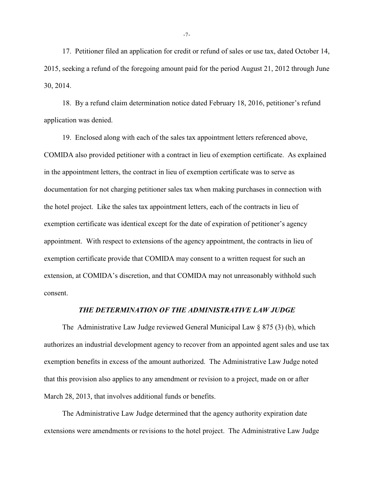17. Petitioner filed an application for credit or refund of sales or use tax, dated October 14, 2015, seeking a refund of the foregoing amount paid for the period August 21, 2012 through June 30, 2014.

18. By a refund claim determination notice dated February 18, 2016, petitioner's refund application was denied.

19. Enclosed along with each of the sales tax appointment letters referenced above, COMIDA also provided petitioner with a contract in lieu of exemption certificate. As explained in the appointment letters, the contract in lieu of exemption certificate was to serve as documentation for not charging petitioner sales tax when making purchases in connection with the hotel project. Like the sales tax appointment letters, each of the contracts in lieu of exemption certificate was identical except for the date of expiration of petitioner's agency appointment. With respect to extensions of the agency appointment, the contracts in lieu of exemption certificate provide that COMIDA may consent to a written request for such an extension, at COMIDA's discretion, and that COMIDA may not unreasonably withhold such consent.

# *THE DETERMINATION OF THE ADMINISTRATIVE LAW JUDGE*

The Administrative Law Judge reviewed General Municipal Law § 875 (3) (b), which authorizes an industrial development agency to recover from an appointed agent sales and use tax exemption benefits in excess of the amount authorized. The Administrative Law Judge noted that this provision also applies to any amendment or revision to a project, made on or after March 28, 2013, that involves additional funds or benefits.

The Administrative Law Judge determined that the agency authority expiration date extensions were amendments or revisions to the hotel project. The Administrative Law Judge

-7-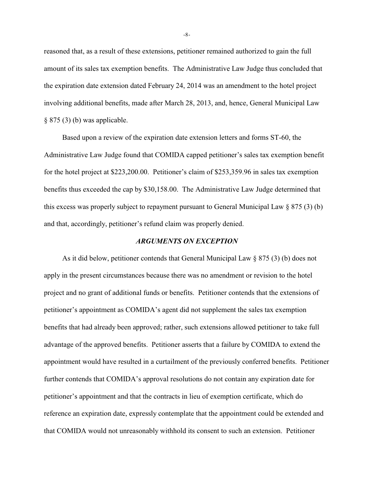reasoned that, as a result of these extensions, petitioner remained authorized to gain the full amount of its sales tax exemption benefits. The Administrative Law Judge thus concluded that the expiration date extension dated February 24, 2014 was an amendment to the hotel project involving additional benefits, made after March 28, 2013, and, hence, General Municipal Law  $§ 875(3)$  (b) was applicable.

Based upon a review of the expiration date extension letters and forms ST-60, the Administrative Law Judge found that COMIDA capped petitioner's sales tax exemption benefit for the hotel project at \$223,200.00. Petitioner's claim of \$253,359.96 in sales tax exemption benefits thus exceeded the cap by \$30,158.00. The Administrative Law Judge determined that this excess was properly subject to repayment pursuant to General Municipal Law § 875 (3) (b) and that, accordingly, petitioner's refund claim was properly denied.

#### *ARGUMENTS ON EXCEPTION*

As it did below, petitioner contends that General Municipal Law  $\S 875 (3)$  (b) does not apply in the present circumstances because there was no amendment or revision to the hotel project and no grant of additional funds or benefits. Petitioner contends that the extensions of petitioner's appointment as COMIDA's agent did not supplement the sales tax exemption benefits that had already been approved; rather, such extensions allowed petitioner to take full advantage of the approved benefits. Petitioner asserts that a failure by COMIDA to extend the appointment would have resulted in a curtailment of the previously conferred benefits. Petitioner further contends that COMIDA's approval resolutions do not contain any expiration date for petitioner's appointment and that the contracts in lieu of exemption certificate, which do reference an expiration date, expressly contemplate that the appointment could be extended and that COMIDA would not unreasonably withhold its consent to such an extension. Petitioner

-8-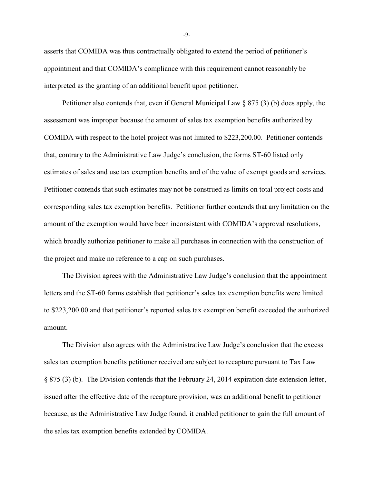asserts that COMIDA was thus contractually obligated to extend the period of petitioner's appointment and that COMIDA's compliance with this requirement cannot reasonably be interpreted as the granting of an additional benefit upon petitioner.

Petitioner also contends that, even if General Municipal Law § 875 (3) (b) does apply, the assessment was improper because the amount of sales tax exemption benefits authorized by COMIDA with respect to the hotel project was not limited to \$223,200.00. Petitioner contends that, contrary to the Administrative Law Judge's conclusion, the forms ST-60 listed only estimates of sales and use tax exemption benefits and of the value of exempt goods and services. Petitioner contends that such estimates may not be construed as limits on total project costs and corresponding sales tax exemption benefits. Petitioner further contends that any limitation on the amount of the exemption would have been inconsistent with COMIDA's approval resolutions, which broadly authorize petitioner to make all purchases in connection with the construction of the project and make no reference to a cap on such purchases.

The Division agrees with the Administrative Law Judge's conclusion that the appointment letters and the ST-60 forms establish that petitioner's sales tax exemption benefits were limited to \$223,200.00 and that petitioner's reported sales tax exemption benefit exceeded the authorized amount.

The Division also agrees with the Administrative Law Judge's conclusion that the excess sales tax exemption benefits petitioner received are subject to recapture pursuant to Tax Law § 875 (3) (b). The Division contends that the February 24, 2014 expiration date extension letter, issued after the effective date of the recapture provision, was an additional benefit to petitioner because, as the Administrative Law Judge found, it enabled petitioner to gain the full amount of the sales tax exemption benefits extended by COMIDA.

-9-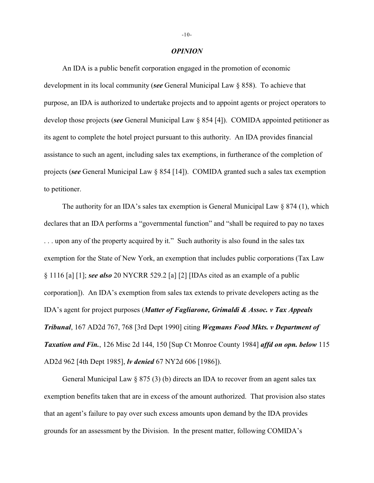## *OPINION*

An IDA is a public benefit corporation engaged in the promotion of economic development in its local community (*see* General Municipal Law § 858). To achieve that purpose, an IDA is authorized to undertake projects and to appoint agents or project operators to develop those projects (*see* General Municipal Law § 854 [4]). COMIDA appointed petitioner as its agent to complete the hotel project pursuant to this authority. An IDA provides financial assistance to such an agent, including sales tax exemptions, in furtherance of the completion of projects (*see* General Municipal Law § 854 [14]). COMIDA granted such a sales tax exemption to petitioner.

The authority for an IDA's sales tax exemption is General Municipal Law  $\S 874 (1)$ , which declares that an IDA performs a "governmental function" and "shall be required to pay no taxes . . . upon any of the property acquired by it." Such authority is also found in the sales tax exemption for the State of New York, an exemption that includes public corporations (Tax Law § 1116 [a] [1]; *see also* 20 NYCRR 529.2 [a] [2] [IDAs cited as an example of a public corporation]). An IDA's exemption from sales tax extends to private developers acting as the IDA's agent for project purposes (*Matter of Fagliarone, Grimaldi & Assoc. v Tax Appeals Tribunal*, 167 AD2d 767, 768 [3rd Dept 1990] citing *Wegmans Food Mkts. v Department of Taxation and Fin.*, 126 Misc 2d 144, 150 [Sup Ct Monroe County 1984] *affd on opn. below* 115 AD2d 962 [4th Dept 1985], *lv denied* 67 NY2d 606 [1986]).

General Municipal Law  $\S 875 (3) (b)$  directs an IDA to recover from an agent sales tax exemption benefits taken that are in excess of the amount authorized. That provision also states that an agent's failure to pay over such excess amounts upon demand by the IDA provides grounds for an assessment by the Division. In the present matter, following COMIDA's

#### -10-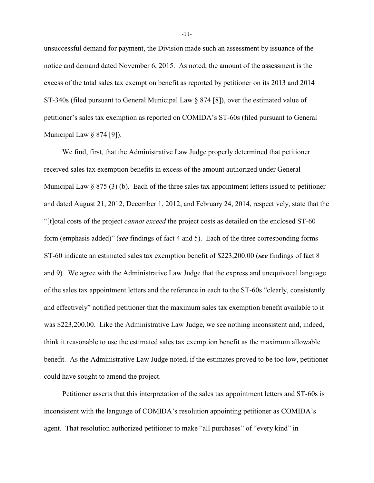unsuccessful demand for payment, the Division made such an assessment by issuance of the notice and demand dated November 6, 2015. As noted, the amount of the assessment is the excess of the total sales tax exemption benefit as reported by petitioner on its 2013 and 2014 ST-340s (filed pursuant to General Municipal Law § 874 [8]), over the estimated value of petitioner's sales tax exemption as reported on COMIDA's ST-60s (filed pursuant to General Municipal Law § 874 [9]).

We find, first, that the Administrative Law Judge properly determined that petitioner received sales tax exemption benefits in excess of the amount authorized under General Municipal Law  $\S 875 (3)$  (b). Each of the three sales tax appointment letters issued to petitioner and dated August 21, 2012, December 1, 2012, and February 24, 2014, respectively, state that the "[t]otal costs of the project *cannot exceed* the project costs as detailed on the enclosed ST-60 form (emphasis added)" (*see* findings of fact 4 and 5). Each of the three corresponding forms ST-60 indicate an estimated sales tax exemption benefit of \$223,200.00 (*see* findings of fact 8 and 9). We agree with the Administrative Law Judge that the express and unequivocal language of the sales tax appointment letters and the reference in each to the ST-60s "clearly, consistently and effectively" notified petitioner that the maximum sales tax exemption benefit available to it was \$223,200.00. Like the Administrative Law Judge, we see nothing inconsistent and, indeed, think it reasonable to use the estimated sales tax exemption benefit as the maximum allowable benefit. As the Administrative Law Judge noted, if the estimates proved to be too low, petitioner could have sought to amend the project.

Petitioner asserts that this interpretation of the sales tax appointment letters and ST-60s is inconsistent with the language of COMIDA's resolution appointing petitioner as COMIDA's agent. That resolution authorized petitioner to make "all purchases" of "every kind" in

-11-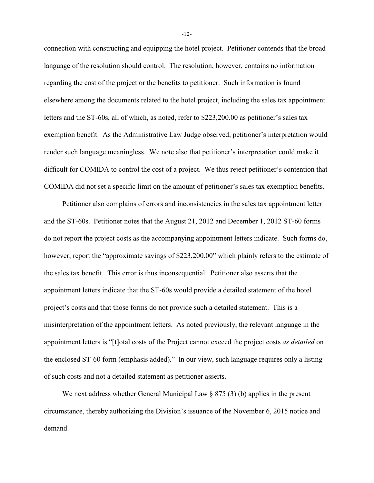connection with constructing and equipping the hotel project. Petitioner contends that the broad language of the resolution should control. The resolution, however, contains no information regarding the cost of the project or the benefits to petitioner. Such information is found elsewhere among the documents related to the hotel project, including the sales tax appointment letters and the ST-60s, all of which, as noted, refer to \$223,200.00 as petitioner's sales tax exemption benefit. As the Administrative Law Judge observed, petitioner's interpretation would render such language meaningless. We note also that petitioner's interpretation could make it difficult for COMIDA to control the cost of a project. We thus reject petitioner's contention that COMIDA did not set a specific limit on the amount of petitioner's sales tax exemption benefits.

Petitioner also complains of errors and inconsistencies in the sales tax appointment letter and the ST-60s. Petitioner notes that the August 21, 2012 and December 1, 2012 ST-60 forms do not report the project costs as the accompanying appointment letters indicate. Such forms do, however, report the "approximate savings of \$223,200.00" which plainly refers to the estimate of the sales tax benefit. This error is thus inconsequential. Petitioner also asserts that the appointment letters indicate that the ST-60s would provide a detailed statement of the hotel project's costs and that those forms do not provide such a detailed statement. This is a misinterpretation of the appointment letters. As noted previously, the relevant language in the appointment letters is "[t]otal costs of the Project cannot exceed the project costs *as detailed* on the enclosed ST-60 form (emphasis added)." In our view, such language requires only a listing of such costs and not a detailed statement as petitioner asserts.

We next address whether General Municipal Law § 875 (3) (b) applies in the present circumstance, thereby authorizing the Division's issuance of the November 6, 2015 notice and demand.

-12-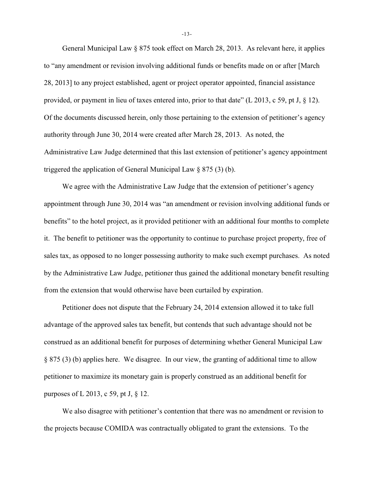General Municipal Law  $\S 875$  took effect on March 28, 2013. As relevant here, it applies to "any amendment or revision involving additional funds or benefits made on or after [March 28, 2013] to any project established, agent or project operator appointed, financial assistance provided, or payment in lieu of taxes entered into, prior to that date" (L 2013, c 59, pt J, § 12). Of the documents discussed herein, only those pertaining to the extension of petitioner's agency authority through June 30, 2014 were created after March 28, 2013. As noted, the Administrative Law Judge determined that this last extension of petitioner's agency appointment triggered the application of General Municipal Law § 875 (3) (b).

We agree with the Administrative Law Judge that the extension of petitioner's agency appointment through June 30, 2014 was "an amendment or revision involving additional funds or benefits" to the hotel project, as it provided petitioner with an additional four months to complete it. The benefit to petitioner was the opportunity to continue to purchase project property, free of sales tax, as opposed to no longer possessing authority to make such exempt purchases. As noted by the Administrative Law Judge, petitioner thus gained the additional monetary benefit resulting from the extension that would otherwise have been curtailed by expiration.

Petitioner does not dispute that the February 24, 2014 extension allowed it to take full advantage of the approved sales tax benefit, but contends that such advantage should not be construed as an additional benefit for purposes of determining whether General Municipal Law § 875 (3) (b) applies here. We disagree. In our view, the granting of additional time to allow petitioner to maximize its monetary gain is properly construed as an additional benefit for purposes of L 2013, c 59, pt J, § 12.

We also disagree with petitioner's contention that there was no amendment or revision to the projects because COMIDA was contractually obligated to grant the extensions. To the

-13-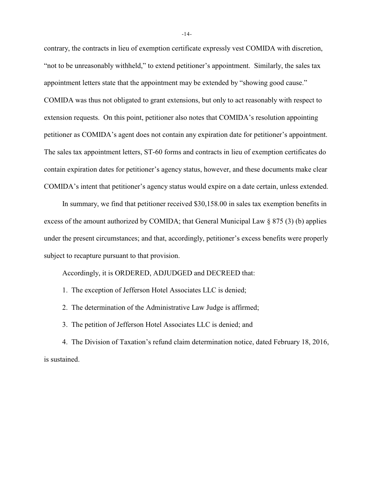contrary, the contracts in lieu of exemption certificate expressly vest COMIDA with discretion, "not to be unreasonably withheld," to extend petitioner's appointment. Similarly, the sales tax appointment letters state that the appointment may be extended by "showing good cause." COMIDA was thus not obligated to grant extensions, but only to act reasonably with respect to extension requests. On this point, petitioner also notes that COMIDA's resolution appointing petitioner as COMIDA's agent does not contain any expiration date for petitioner's appointment. The sales tax appointment letters, ST-60 forms and contracts in lieu of exemption certificates do contain expiration dates for petitioner's agency status, however, and these documents make clear COMIDA's intent that petitioner's agency status would expire on a date certain, unless extended.

In summary, we find that petitioner received \$30,158.00 in sales tax exemption benefits in excess of the amount authorized by COMIDA; that General Municipal Law § 875 (3) (b) applies under the present circumstances; and that, accordingly, petitioner's excess benefits were properly subject to recapture pursuant to that provision.

Accordingly, it is ORDERED, ADJUDGED and DECREED that:

- 1. The exception of Jefferson Hotel Associates LLC is denied;
- 2. The determination of the Administrative Law Judge is affirmed;
- 3. The petition of Jefferson Hotel Associates LLC is denied; and

4. The Division of Taxation's refund claim determination notice, dated February 18, 2016, is sustained.